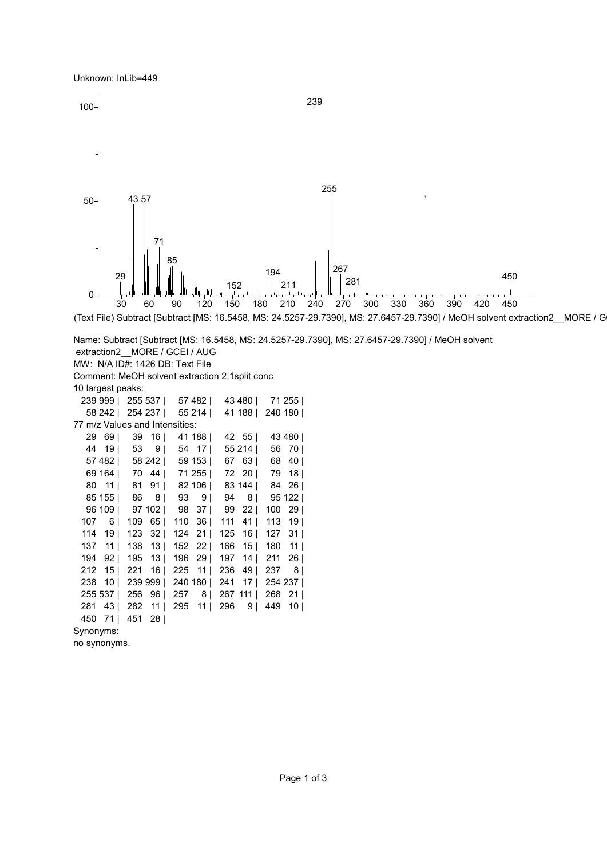## Unknown; InLib=449



(Text File) Subtract [Subtract [MS: 16.5458, MS: 24.5257-29.7390], MS: 27.6457-29.7390] / MeOH solvent extraction2\_MORE / G

Name: Subtract [Subtract [MS: 16.5458, MS: 24.5257-29.7390], MS: 27.6457-29.7390] / MeOH solvent extraction2 MORE / GCEI / AUG MW: N/A ID#: 1426 DB: Text File Comment: MeOH solvent extraction 2:1split conc 10 largest peaks: 999 | 255 537 | 57 482 | 43 480 | 71 255 | 242 | 254 237 | 55 214 | 41 188 | 240 180 | 77 m/z Values and Intensities: 69 | 39 16 | 41 188 | 42 55 | 43 480 | 44 19 | 53 9 | 54 17 | 55 214 | 56 70 | 482 | 58 242 | 59 153 | 67 63 | 68 40 | 164 | 70 44 | 71 255 | 72 20 | 79 18 | 11 | 81 91 | 82 106 | 83 144 | 84 26 | 85 155 | 86 8 | 93 9 | 94 8 | 95 122 | 109 | 97 102 | 98 37 | 99 22 | 100 29 | 107 6 | 109 65 | 110 36 | 111 41 | 113 19 | 19 | 123 32 | 124 21 | 125 16 | 127 31 | 137 11 | 138 13 | 152 22 | 166 15 | 180 11 | 92 | 195 13 | 196 29 | 197 14 | 211 26 | 15 | 221 16 | 225 11 | 236 49 | 237 8 | 10 | 239 999 | 240 180 | 241 17 | 254 237 | 537 | 256 96 | 257 8 | 267 111 | 268 21 | 281 43 | 282 11 | 295 11 | 296 9 | 449 10 | 71 | 451 28 | Synonyms:

no synonyms.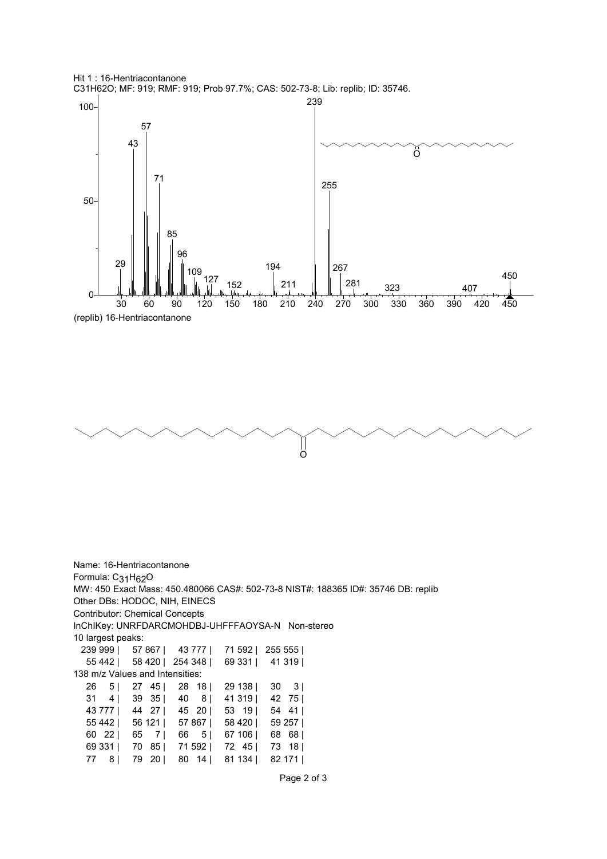





Name: 16-Hentriacontanone Formula: C<sub>31</sub>H<sub>62</sub>O MW: 450 Exact Mass: 450.480066 CAS#: 502-73-8 NIST#: 188365 ID#: 35746 DB: replib Other DBs: HODOC, NIH, EINECS Contributor: Chemical Concepts InChIKey: UNRFDARCMOHDBJ-UHFFFAOYSA-N Non-stereo 10 largest peaks: 999 | 57 867 | 43 777 | 71 592 | 255 555 | 442 | 58 420 | 254 348 | 69 331 | 41 319 | 138 m/z Values and Intensities: 26 5 | 27 45 | 28 18 | 29 138 | 30 3 | 31 4 | 39 35 | 40 8 | 41 319 | 42 75 | 777 | 44 27 | 45 20 | 53 19 | 54 41 | 442 | 56 121 | 57 867 | 58 420 | 59 257 | 22 | 65 7 | 66 5 | 67 106 | 68 68 | 331 | 70 85 | 71 592 | 72 45 | 73 18 | 8 | 79 20 | 80 14 | 81 134 | 82 171 |